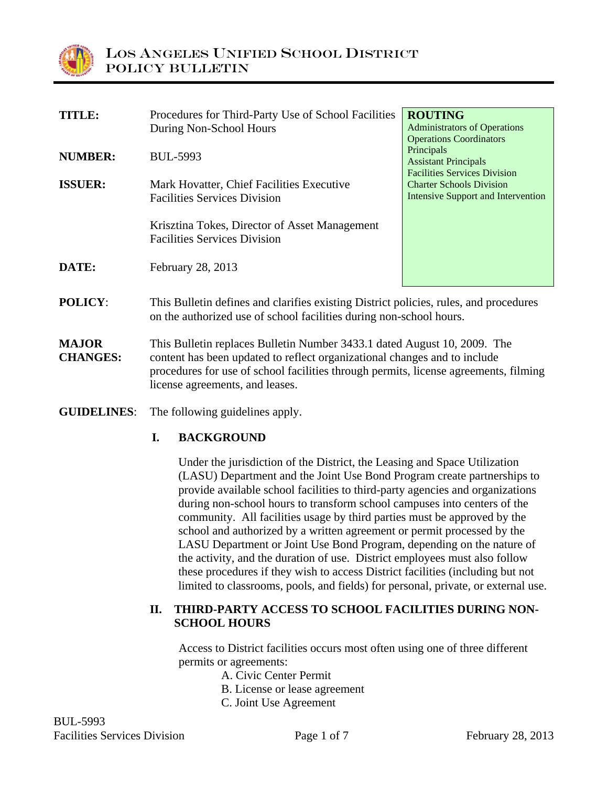

| <b>TITLE:</b>                   | Procedures for Third-Party Use of School Facilities<br>During Non-School Hours                                                                                                                                                                | <b>ROUTING</b><br><b>Administrators of Operations</b>                                                               |
|---------------------------------|-----------------------------------------------------------------------------------------------------------------------------------------------------------------------------------------------------------------------------------------------|---------------------------------------------------------------------------------------------------------------------|
| <b>NUMBER:</b>                  | <b>BUL-5993</b>                                                                                                                                                                                                                               | <b>Operations Coordinators</b><br>Principals<br><b>Assistant Principals</b>                                         |
| <b>ISSUER:</b>                  | Mark Hovatter, Chief Facilities Executive<br><b>Facilities Services Division</b>                                                                                                                                                              | <b>Facilities Services Division</b><br><b>Charter Schools Division</b><br><b>Intensive Support and Intervention</b> |
|                                 | Krisztina Tokes, Director of Asset Management<br><b>Facilities Services Division</b>                                                                                                                                                          |                                                                                                                     |
| DATE:                           | February 28, 2013                                                                                                                                                                                                                             |                                                                                                                     |
| <b>POLICY:</b>                  | This Bulletin defines and clarifies existing District policies, rules, and procedures<br>on the authorized use of school facilities during non-school hours.                                                                                  |                                                                                                                     |
| <b>MAJOR</b><br><b>CHANGES:</b> | This Bulletin replaces Bulletin Number 3433.1 dated August 10, 2009. The<br>content has been updated to reflect organizational changes and to include<br>procedures for use of school facilities through permits, license agreements, filming |                                                                                                                     |

**GUIDELINES**: The following guidelines apply.

### **I. BACKGROUND**

license agreements, and leases.

Under the jurisdiction of the District, the Leasing and Space Utilization (LASU) Department and the Joint Use Bond Program create partnerships to provide available school facilities to third-party agencies and organizations during non-school hours to transform school campuses into centers of the community. All facilities usage by third parties must be approved by the school and authorized by a written agreement or permit processed by the LASU Department or Joint Use Bond Program, depending on the nature of the activity, and the duration of use. District employees must also follow these procedures if they wish to access District facilities (including but not limited to classrooms, pools, and fields) for personal, private, or external use.

#### **II. THIRD-PARTY ACCESS TO SCHOOL FACILITIES DURING NON-SCHOOL HOURS**

Access to District facilities occurs most often using one of three different permits or agreements:

- A. Civic Center Permit
- B. License or lease agreement
- C. Joint Use Agreement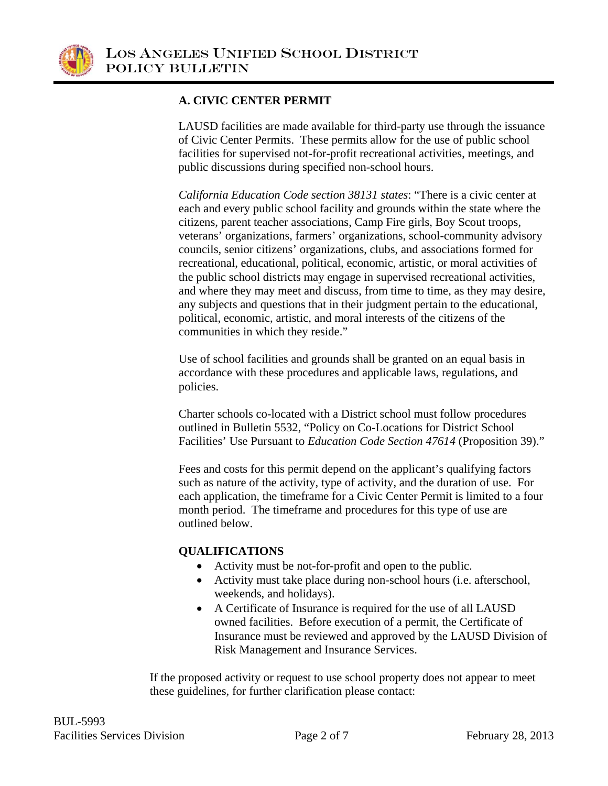

## **A. CIVIC CENTER PERMIT**

LAUSD facilities are made available for third-party use through the issuance of Civic Center Permits. These permits allow for the use of public school facilities for supervised not-for-profit recreational activities, meetings, and public discussions during specified non-school hours.

*California Education Code section 38131 states*: "There is a civic center at each and every public school facility and grounds within the state where the citizens, parent teacher associations, Camp Fire girls, Boy Scout troops, veterans' organizations, farmers' organizations, school-community advisory councils, senior citizens' organizations, clubs, and associations formed for recreational, educational, political, economic, artistic, or moral activities of the public school districts may engage in supervised recreational activities, and where they may meet and discuss, from time to time, as they may desire, any subjects and questions that in their judgment pertain to the educational, political, economic, artistic, and moral interests of the citizens of the communities in which they reside."

Use of school facilities and grounds shall be granted on an equal basis in accordance with these procedures and applicable laws, regulations, and policies.

Charter schools co-located with a District school must follow procedures outlined in Bulletin 5532, "Policy on Co-Locations for District School Facilities' Use Pursuant to *Education Code Section 47614* (Proposition 39)."

Fees and costs for this permit depend on the applicant's qualifying factors such as nature of the activity, type of activity, and the duration of use. For each application, the timeframe for a Civic Center Permit is limited to a four month period. The timeframe and procedures for this type of use are outlined below.

### **QUALIFICATIONS**

- Activity must be not-for-profit and open to the public.
- Activity must take place during non-school hours (i.e. afterschool, weekends, and holidays).
- A Certificate of Insurance is required for the use of all LAUSD owned facilities. Before execution of a permit, the Certificate of Insurance must be reviewed and approved by the LAUSD Division of Risk Management and Insurance Services.

If the proposed activity or request to use school property does not appear to meet these guidelines, for further clarification please contact: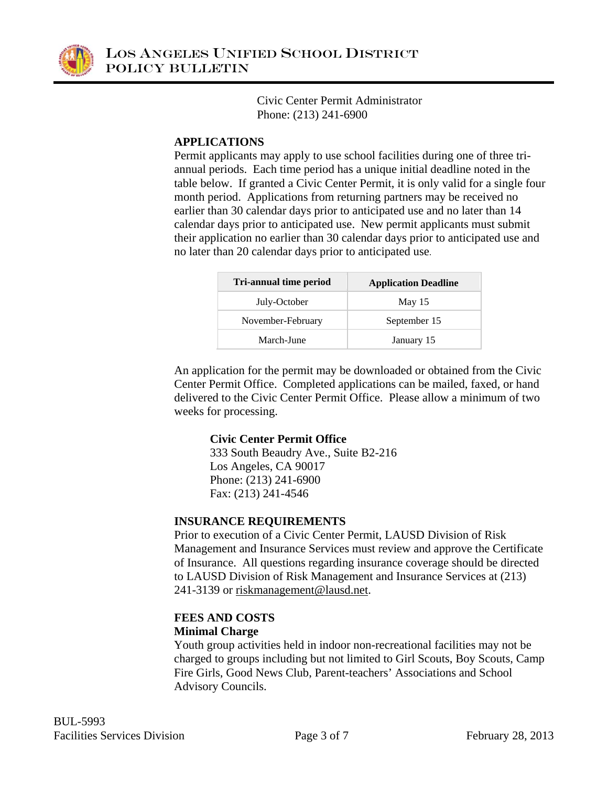

Civic Center Permit Administrator Phone: (213) 241-6900

### **APPLICATIONS**

Permit applicants may apply to use school facilities during one of three triannual periods. Each time period has a unique initial deadline noted in the table below. If granted a Civic Center Permit, it is only valid for a single four month period. Applications from returning partners may be received no earlier than 30 calendar days prior to anticipated use and no later than 14 calendar days prior to anticipated use. New permit applicants must submit their application no earlier than 30 calendar days prior to anticipated use and no later than 20 calendar days prior to anticipated use.

| Tri-annual time period | <b>Application Deadline</b> |  |
|------------------------|-----------------------------|--|
| July-October           | May $15$                    |  |
| November-February      | September 15                |  |
| March-June             | January 15                  |  |

An application for the permit may be downloaded or obtained from the Civic Center Permit Office. Completed applications can be mailed, faxed, or hand delivered to the Civic Center Permit Office. Please allow a minimum of two weeks for processing.

## **Civic Center Permit Office**

333 South Beaudry Ave., Suite B2-216 Los Angeles, CA 90017 Phone: (213) 241-6900 Fax: (213) 241-4546

### **INSURANCE REQUIREMENTS**

Prior to execution of a Civic Center Permit, LAUSD Division of Risk Management and Insurance Services must review and approve the Certificate of Insurance. All questions regarding insurance coverage should be directed to LAUSD Division of Risk Management and Insurance Services at (213) 241-3139 or riskmanagement@lausd.net.

# **FEES AND COSTS**

### **Minimal Charge**

Youth group activities held in indoor non-recreational facilities may not be charged to groups including but not limited to Girl Scouts, Boy Scouts, Camp Fire Girls, Good News Club, Parent-teachers' Associations and School Advisory Councils.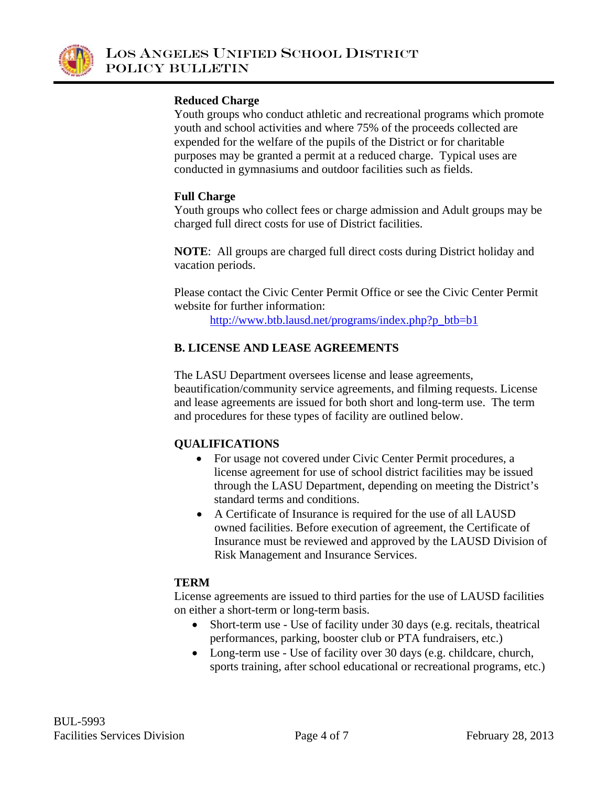

#### **Reduced Charge**

Youth groups who conduct athletic and recreational programs which promote youth and school activities and where 75% of the proceeds collected are expended for the welfare of the pupils of the District or for charitable purposes may be granted a permit at a reduced charge. Typical uses are conducted in gymnasiums and outdoor facilities such as fields.

#### **Full Charge**

Youth groups who collect fees or charge admission and Adult groups may be charged full direct costs for use of District facilities.

**NOTE**: All groups are charged full direct costs during District holiday and vacation periods.

Please contact the Civic Center Permit Office or see the Civic Center Permit website for further information:

http://www.btb.lausd.net/programs/index.php?p\_btb=b1

### **B. LICENSE AND LEASE AGREEMENTS**

The LASU Department oversees license and lease agreements, beautification/community service agreements, and filming requests. License and lease agreements are issued for both short and long-term use. The term and procedures for these types of facility are outlined below.

### **QUALIFICATIONS**

- For usage not covered under Civic Center Permit procedures, a license agreement for use of school district facilities may be issued through the LASU Department, depending on meeting the District's standard terms and conditions.
- A Certificate of Insurance is required for the use of all LAUSD owned facilities. Before execution of agreement, the Certificate of Insurance must be reviewed and approved by the LAUSD Division of Risk Management and Insurance Services.

### **TERM**

License agreements are issued to third parties for the use of LAUSD facilities on either a short-term or long-term basis.

- Short-term use Use of facility under 30 days (e.g. recitals, theatrical performances, parking, booster club or PTA fundraisers, etc.)
- Long-term use Use of facility over 30 days (e.g. childcare, church, sports training, after school educational or recreational programs, etc.)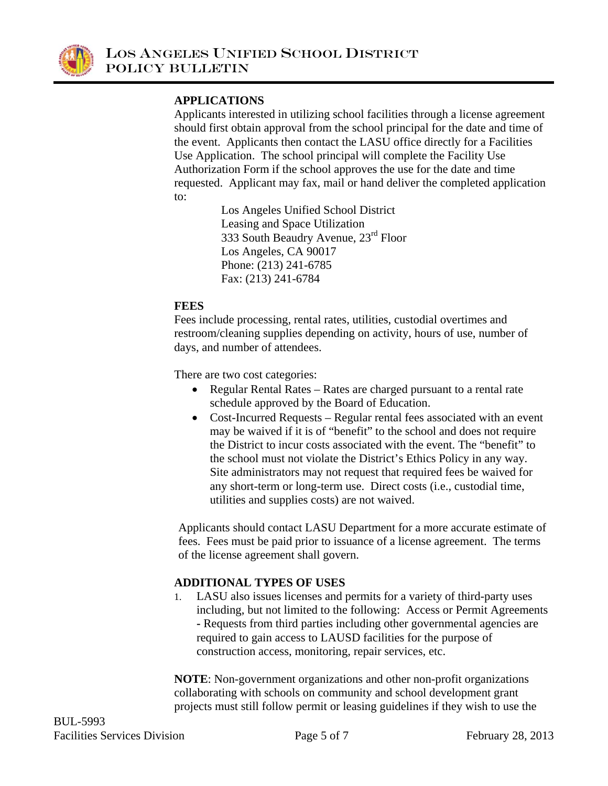

## **APPLICATIONS**

Applicants interested in utilizing school facilities through a license agreement should first obtain approval from the school principal for the date and time of the event. Applicants then contact the LASU office directly for a Facilities Use Application. The school principal will complete the Facility Use Authorization Form if the school approves the use for the date and time requested. Applicant may fax, mail or hand deliver the completed application to:

> Los Angeles Unified School District Leasing and Space Utilization 333 South Beaudry Avenue, 23rd Floor Los Angeles, CA 90017 Phone: (213) 241-6785 Fax: (213) 241-6784

#### **FEES**

Fees include processing, rental rates, utilities, custodial overtimes and restroom/cleaning supplies depending on activity, hours of use, number of days, and number of attendees.

There are two cost categories:

- Regular Rental Rates Rates are charged pursuant to a rental rate schedule approved by the Board of Education.
- Cost-Incurred Requests Regular rental fees associated with an event may be waived if it is of "benefit" to the school and does not require the District to incur costs associated with the event. The "benefit" to the school must not violate the District's Ethics Policy in any way. Site administrators may not request that required fees be waived for any short-term or long-term use. Direct costs (i.e., custodial time, utilities and supplies costs) are not waived.

Applicants should contact LASU Department for a more accurate estimate of fees. Fees must be paid prior to issuance of a license agreement. The terms of the license agreement shall govern.

### **ADDITIONAL TYPES OF USES**

1. LASU also issues licenses and permits for a variety of third-party uses including, but not limited to the following: Access or Permit Agreements **-** Requests from third parties including other governmental agencies are required to gain access to LAUSD facilities for the purpose of construction access, monitoring, repair services, etc.

**NOTE**: Non-government organizations and other non-profit organizations collaborating with schools on community and school development grant projects must still follow permit or leasing guidelines if they wish to use the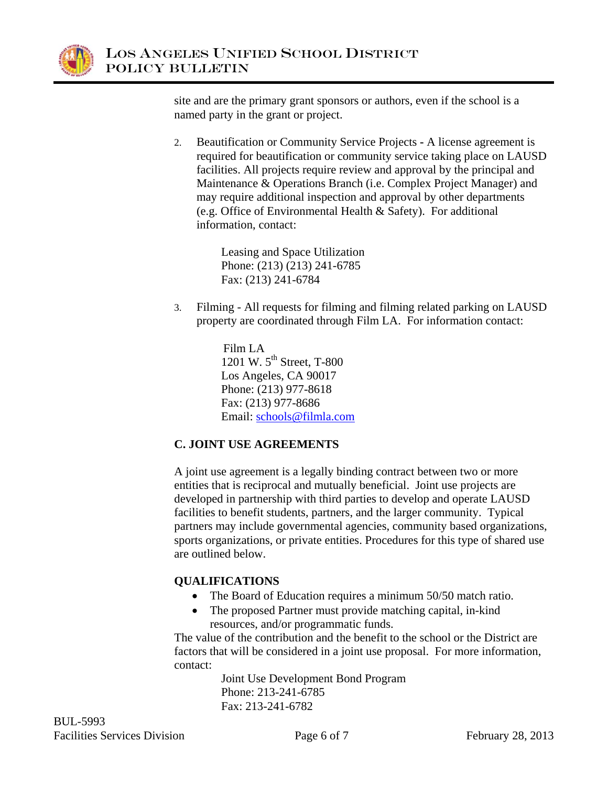

site and are the primary grant sponsors or authors, even if the school is a named party in the grant or project.

2. Beautification or Community Service Projects **-** A license agreement is required for beautification or community service taking place on LAUSD facilities. All projects require review and approval by the principal and Maintenance & Operations Branch (i.e. Complex Project Manager) and may require additional inspection and approval by other departments (e.g. Office of Environmental Health & Safety). For additional information, contact:

> Leasing and Space Utilization Phone: (213) (213) 241-6785 Fax: (213) 241-6784

3. Filming - All requests for filming and filming related parking on LAUSD property are coordinated through Film LA. For information contact:

> Film LA 1201 W.  $5^{th}$  Street, T-800 Los Angeles, CA 90017 Phone: (213) 977-8618 Fax: (213) 977-8686 Email: schools@filmla.com

## **C. JOINT USE AGREEMENTS**

A joint use agreement is a legally binding contract between two or more entities that is reciprocal and mutually beneficial. Joint use projects are developed in partnership with third parties to develop and operate LAUSD facilities to benefit students, partners, and the larger community. Typical partners may include governmental agencies, community based organizations, sports organizations, or private entities. Procedures for this type of shared use are outlined below.

## **QUALIFICATIONS**

- The Board of Education requires a minimum 50/50 match ratio.
- The proposed Partner must provide matching capital, in-kind resources, and/or programmatic funds.

The value of the contribution and the benefit to the school or the District are factors that will be considered in a joint use proposal. For more information, contact:

> Joint Use Development Bond Program Phone: 213-241-6785 Fax: 213-241-6782